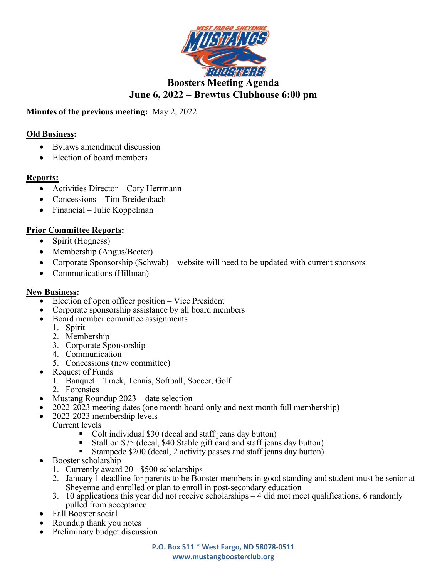

# Minutes of the previous meeting: May 2, 2022

### Old Business:

- Bylaws amendment discussion
- Election of board members

### Reports:

- Activities Director Cory Herrmann
- Concessions Tim Breidenbach
- Financial Julie Koppelman

### Prior Committee Reports:

- Spirit (Hogness)
- Membership (Angus/Beeter)
- Corporate Sponsorship (Schwab) website will need to be updated with current sponsors
- Communications (Hillman)

#### New Business:

- Election of open officer position Vice President
- Corporate sponsorship assistance by all board members
- Board member committee assignments
	- 1. Spirit
	- 2. Membership
	- 3. Corporate Sponsorship
	- 4. Communication
	- 5. Concessions (new committee)
- Request of Funds
	- 1. Banquet Track, Tennis, Softball, Soccer, Golf
	- 2. Forensics
- Mustang Roundup 2023 date selection
- 2022-2023 meeting dates (one month board only and next month full membership)
- 2022-2023 membership levels
	- Current levels
		- Colt individual \$30 (decal and staff jeans day button)<br>• Stallion \$75 (decal \$40 Stable gift card and staff jean
		- Stallion \$75 (decal, \$40 Stable gift card and staff jeans day button)
		- Stampede \$200 (decal, 2 activity passes and staff jeans day button)
- Booster scholarship
	- 1. Currently award 20 \$500 scholarships
	- 2. January 1 deadline for parents to be Booster members in good standing and student must be senior at Sheyenne and enrolled or plan to enroll in post-secondary education
	- 3. 10 applications this year did not receive scholarships 4 did mot meet qualifications, 6 randomly pulled from acceptance
- Fall Booster social
- Roundup thank you notes
- Preliminary budget discussion